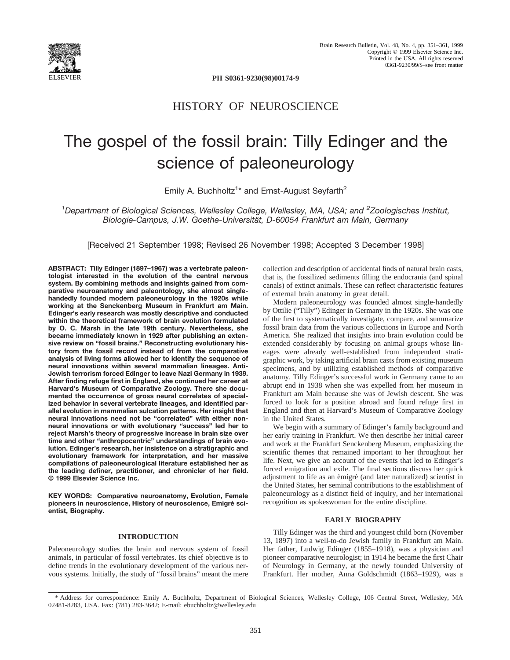

**PII S0361-9230(98)00174-9**

# HISTORY OF NEUROSCIENCE

# The gospel of the fossil brain: Tilly Edinger and the science of paleoneurology

Emily A. Buchholtz<sup>1\*</sup> and Ernst-August Seyfarth<sup>2</sup>

*1 Department of Biological Sciences, Wellesley College, Wellesley, MA, USA; and <sup>2</sup> Zoologisches Institut, Biologie-Campus, J.W. Goethe-Universita¨ t, D-60054 Frankfurt am Main, Germany*

[Received 21 September 1998; Revised 26 November 1998; Accepted 3 December 1998]

**ABSTRACT: Tilly Edinger (1897–1967) was a vertebrate paleontologist interested in the evolution of the central nervous system. By combining methods and insights gained from comparative neuroanatomy and paleontology, she almost singlehandedly founded modern paleoneurology in the 1920s while working at the Senckenberg Museum in Frankfurt am Main. Edinger's early research was mostly descriptive and conducted within the theoretical framework of brain evolution formulated by O. C. Marsh in the late 19th century. Nevertheless, she became immediately known in 1929 after publishing an extensive review on "fossil brains." Reconstructing evolutionary history from the fossil record instead of from the comparative analysis of living forms allowed her to identify the sequence of neural innovations within several mammalian lineages. Anti-Jewish terrorism forced Edinger to leave Nazi Germany in 1939. After finding refuge first in England, she continued her career at Harvard's Museum of Comparative Zoology. There she documented the occurrence of gross neural correlates of specialized behavior in several vertebrate lineages, and identified parallel evolution in mammalian sulcation patterns. Her insight that neural innovations need not be "correlated" with either nonneural innovations or with evolutionary "success" led her to reject Marsh's theory of progressive increase in brain size over time and other "anthropocentric" understandings of brain evolution. Edinger's research, her insistence on a stratigraphic and evolutionary framework for interpretation, and her massive compilations of paleoneurological literature established her as the leading definer, practitioner, and chronicler of her field. © 1999 Elsevier Science Inc.**

**KEY WORDS: Comparative neuroanatomy, Evolution, Female** pioneers in neuroscience, History of neuroscience, Emigré sci**entist, Biography.**

# **INTRODUCTION**

Paleoneurology studies the brain and nervous system of fossil animals, in particular of fossil vertebrates. Its chief objective is to define trends in the evolutionary development of the various nervous systems. Initially, the study of "fossil brains" meant the mere

collection and description of accidental finds of natural brain casts, that is, the fossilized sediments filling the endocrania (and spinal canals) of extinct animals. These can reflect characteristic features of external brain anatomy in great detail.

Modern paleoneurology was founded almost single-handedly by Ottilie ("Tilly") Edinger in Germany in the 1920s. She was one of the first to systematically investigate, compare, and summarize fossil brain data from the various collections in Europe and North America. She realized that insights into brain evolution could be extended considerably by focusing on animal groups whose lineages were already well-established from independent stratigraphic work, by taking artificial brain casts from existing museum specimens, and by utilizing established methods of comparative anatomy. Tilly Edinger's successful work in Germany came to an abrupt end in 1938 when she was expelled from her museum in Frankfurt am Main because she was of Jewish descent. She was forced to look for a position abroad and found refuge first in England and then at Harvard's Museum of Comparative Zoology in the United States.

We begin with a summary of Edinger's family background and her early training in Frankfurt. We then describe her initial career and work at the Frankfurt Senckenberg Museum, emphasizing the scientific themes that remained important to her throughout her life. Next, we give an account of the events that led to Edinger's forced emigration and exile. The final sections discuss her quick adjustment to life as an émigré (and later naturalized) scientist in the United States, her seminal contributions to the establishment of paleoneurology as a distinct field of inquiry, and her international recognition as spokeswoman for the entire discipline.

## **EARLY BIOGRAPHY**

Tilly Edinger was the third and youngest child born (November 13, 1897) into a well-to-do Jewish family in Frankfurt am Main. Her father, Ludwig Edinger (1855–1918), was a physician and pioneer comparative neurologist; in 1914 he became the first Chair of Neurology in Germany, at the newly founded University of Frankfurt. Her mother, Anna Goldschmidt (1863–1929), was a

<sup>\*</sup> Address for correspondence: Emily A. Buchholtz, Department of Biological Sciences, Wellesley College, 106 Central Street, Wellesley, MA 02481-8283, USA. Fax: (781) 283-3642; E-mail: ebuchholtz@wellesley.edu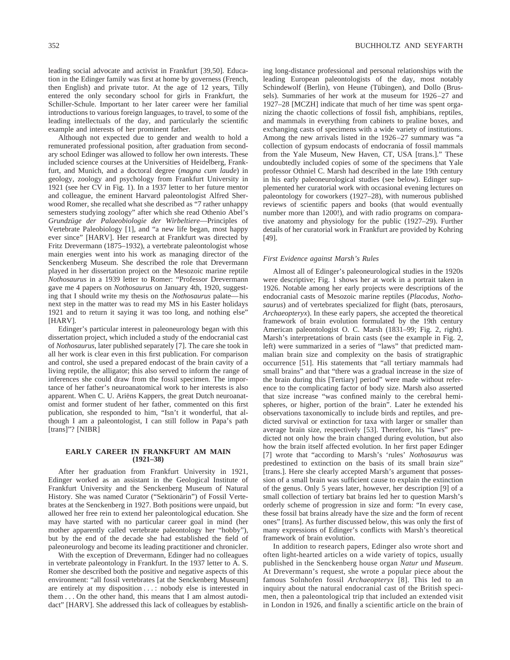leading social advocate and activist in Frankfurt [39,50]. Education in the Edinger family was first at home by governess (French, then English) and private tutor. At the age of 12 years, Tilly entered the only secondary school for girls in Frankfurt, the Schiller-Schule. Important to her later career were her familial introductions to various foreign languages, to travel, to some of the leading intellectuals of the day, and particularly the scientific example and interests of her prominent father.

Although not expected due to gender and wealth to hold a remunerated professional position, after graduation from secondary school Edinger was allowed to follow her own interests. These included science courses at the Universities of Heidelberg, Frankfurt, and Munich, and a doctoral degree (*magna cum laude*) in geology, zoology and psychology from Frankfurt University in 1921 (see her CV in Fig. 1). In a 1937 letter to her future mentor and colleague, the eminent Harvard paleontologist Alfred Sherwood Romer, she recalled what she described as "7 rather unhappy semesters studying zoology" after which she read Othenio Abel's *Grundzu¨ge der Palaeobiologie der Wirbeltiere*—Principles of Vertebrate Paleobiology [1], and "a new life began, most happy ever since" [HARV]. Her research at Frankfurt was directed by Fritz Drevermann (1875–1932), a vertebrate paleontologist whose main energies went into his work as managing director of the Senckenberg Museum. She described the role that Drevermann played in her dissertation project on the Mesozoic marine reptile *Nothosaurus* in a 1939 letter to Romer: "Professor Drevermann gave me 4 papers on *Nothosaurus* on January 4th, 1920, suggesting that I should write my thesis on the *Nothosaurus* palate—his next step in the matter was to read my MS in his Easter holidays 1921 and to return it saying it was too long, and nothing else" [HARV].

Edinger's particular interest in paleoneurology began with this dissertation project, which included a study of the endocranial cast of *Nothosaurus*, later published separately [7]. The care she took in all her work is clear even in this first publication. For comparison and control, she used a prepared endocast of the brain cavity of a living reptile, the alligator; this also served to inform the range of inferences she could draw from the fossil specimen. The importance of her father's neuroanatomical work to her interests is also apparent. When C. U. Ariëns Kappers, the great Dutch neuroanatomist and former student of her father, commented on this first publication, she responded to him, "Isn't it wonderful, that although I am a paleontologist, I can still follow in Papa's path [trans]"? [NIBR]

#### **EARLY CAREER IN FRANKFURT AM MAIN (1921–38)**

After her graduation from Frankfurt University in 1921, Edinger worked as an assistant in the Geological Institute of Frankfurt University and the Senckenberg Museum of Natural History. She was named Curator ("Sektionärin") of Fossil Vertebrates at the Senckenberg in 1927. Both positions were unpaid, but allowed her free rein to extend her paleontological education. She may have started with no particular career goal in mind (her mother apparently called vertebrate paleontology her "hobby"), but by the end of the decade she had established the field of paleoneurology and become its leading practitioner and chronicler.

With the exception of Drevermann, Edinger had no colleagues in vertebrate paleontology in Frankfurt. In the 1937 letter to A. S. Romer she described both the positive and negative aspects of this environment: "all fossil vertebrates [at the Senckenberg Museum] are entirely at my disposition...: nobody else is interested in them . . . On the other hand, this means that I am almost autodidact" [HARV]. She addressed this lack of colleagues by establishing long-distance professional and personal relationships with the leading European paleontologists of the day, most notably Schindewolf (Berlin), von Heune (Tübingen), and Dollo (Brussels). Summaries of her work at the museum for 1926–27 and 1927–28 [MCZH] indicate that much of her time was spent organizing the chaotic collections of fossil fish, amphibians, reptiles, and mammals in everything from cabinets to praline boxes, and exchanging casts of specimens with a wide variety of institutions. Among the new arrivals listed in the 1926–27 summary was "a collection of gypsum endocasts of endocrania of fossil mammals from the Yale Museum, New Haven, CT, USA [trans.]." These undoubtedly included copies of some of the specimens that Yale professor Othniel C. Marsh had described in the late 19th century in his early paleoneurological studies (see below). Edinger supplemented her curatorial work with occasional evening lectures on paleontology for coworkers (1927–28), with numerous published reviews of scientific papers and books (that would eventually number more than 1200!), and with radio programs on comparative anatomy and physiology for the public (1927–29). Further details of her curatorial work in Frankfurt are provided by Kohring [49].

#### *First Evidence against Marsh's Rules*

Almost all of Edinger's paleoneurological studies in the 1920s were descriptive; Fig. 1 shows her at work in a portrait taken in 1926. Notable among her early projects were descriptions of the endocranial casts of Mesozoic marine reptiles (*Placodus, Nothosaurus*) and of vertebrates specialized for flight (bats, pterosaurs, *Archaeopteryx*). In these early papers, she accepted the theoretical framework of brain evolution formulated by the 19th century American paleontologist O. C. Marsh (1831–99; Fig. 2, right). Marsh's interpretations of brain casts (see the example in Fig. 2, left) were summarized in a series of "laws" that predicted mammalian brain size and complexity on the basis of stratigraphic occurrence [51]. His statements that "all tertiary mammals had small brains" and that "there was a gradual increase in the size of the brain during this [Tertiary] period" were made without reference to the complicating factor of body size. Marsh also asserted that size increase "was confined mainly to the cerebral hemispheres, or higher, portion of the brain". Later he extended his observations taxonomically to include birds and reptiles, and predicted survival or extinction for taxa with larger or smaller than average brain size, respectively [53]. Therefore, his "laws" predicted not only how the brain changed during evolution, but also how the brain itself affected evolution. In her first paper Edinger [7] wrote that "according to Marsh's 'rules' *Nothosaurus* was predestined to extinction on the basis of its small brain size" [trans.]. Here she clearly accepted Marsh's argument that possession of a small brain was sufficient cause to explain the extinction of the genus. Only 5 years later, however, her description [9] of a small collection of tertiary bat brains led her to question Marsh's orderly scheme of progression in size and form: "In every case, these fossil bat brains already have the size and the form of recent ones" [trans]. As further discussed below, this was only the first of many expressions of Edinger's conflicts with Marsh's theoretical framework of brain evolution.

In addition to research papers, Edinger also wrote short and often light-hearted articles on a wide variety of topics, usually published in the Senckenberg house organ *Natur und Museum*. At Drevermann's request, she wrote a popular piece about the famous Solnhofen fossil *Archaeopteryx* [8]. This led to an inquiry about the natural endocranial cast of the British specimen, then a paleontological trip that included an extended visit in London in 1926, and finally a scientific article on the brain of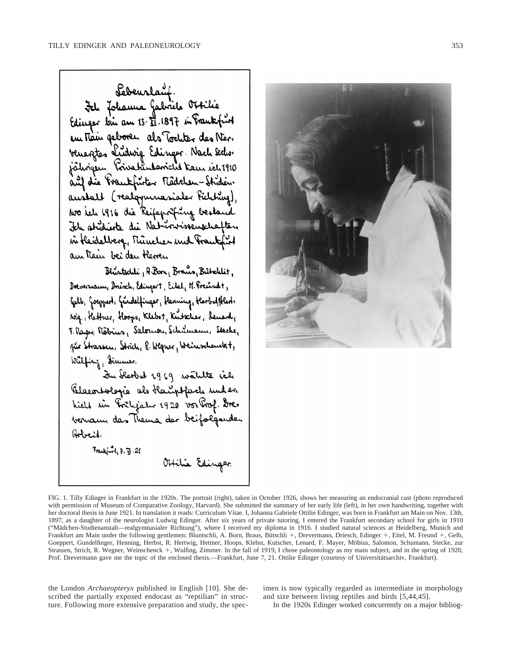Febeurlant.<br>Feli Johanne Jabriele Ottilie<br>Edinger bri am 13- II. 1897 in Frankfurt am Their geboren als Tochter des Ner. venentes Lidwig Edinger Nach Sechs. jährigen Privatentemicht kaue ich 1910 and die Frankfurter Madalen-Studien. austalt (realgymnasialer Fichting), wo ich 1916 die keifeprifing bestand.<br>Ih studierte die Naturvissenschaften in Keidelberg, München und Frankfurt am tain bei den Herren

Bluntschli, R.Born, Braus, Bützehlit, Drevenwam, Dresch, Edingert, Eitel, M. Freindt, Gelb, Goeppert, Gundelfinger, Henning, Kerbst, Hert. Nig, Hettner, Hoops, Klebot, Kutscher, Lenerd, F. Mayer, Nébius, Salomon, Schrimann, Stecke, gür Strassen, Strich, R. Wegner, Weinvelweckt, Wilfing, Simmer.<br>Fu Sterbst 1969 wallte ich

Palacortologie als thampfach under hield in Frélijaler 1920 vor Prof. Dre. vernam das Thema der beifolgenden Arbeit.

Frankfurt, 7.  $\overline{y}$ . 21 Ottilie Edinger

FIG. 1. Tilly Edinger in Frankfurt in the 1920s. The portrait (right), taken in October 1926, shows her measuring an endocranial cast (photo reproduced with permission of Museum of Comparative Zoology, Harvard). She submitted the summary of her early life (left), in her own handwriting, together with her doctoral thesis in June 1921. In translation it reads: Curriculum Vitae. I, Johanna Gabriele Ottilie Edinger, was born in Frankfurt am Main on Nov. 13th, 1897, as a daughter of the neurologist Ludwig Edinger. After six years of private tutoring, I entered the Frankfurt secondary school for girls in 1910 ("Ma¨dchen-Studienanstalt—realgymnasialer Richtung"), where I received my diploma in 1916. I studied natural sciences at Heidelberg, Munich and Frankfurt am Main under the following gentlemen: Bluntschli, A. Born, Braus, Bütschli +, Drevermann, Driesch, Edinger +, Eitel, M. Freund +, Gelb, Goeppert, Gundelfinger, Henning, Herbst, R. Hertwig, Hettner, Hoops, Klebst, Kutscher, Lenard, F. Mayer, Möbius, Salomon, Schumann, Stecke, zur Strassen, Strich, R. Wegner, Weinschenck +, Wulfing, Zimmer. In the fall of 1919, I chose paleontology as my main subject, and in the spring of 1920, Prof. Drevermann gave me the topic of the enclosed thesis.—Frankfurt, June 7, 21. Ottilie Edinger (courtesy of Universitätsarchiv, Frankfurt).

the London *Archaeopteryx* published in English [10]. She described the partially exposed endocast as "reptilian" in structure. Following more extensive preparation and study, the specimen is now typically regarded as intermediate in morphology and size between living reptiles and birds [5,44,45].

In the 1920s Edinger worked concurrently on a major bibliog-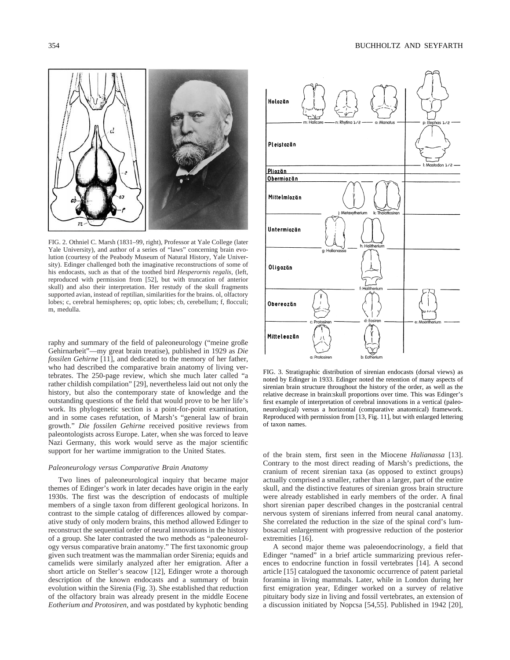

FIG. 2. Othniel C. Marsh (1831–99, right), Professor at Yale College (later Yale University), and author of a series of "laws" concerning brain evolution (courtesy of the Peabody Museum of Natural History, Yale University). Edinger challenged both the imaginative reconstructions of some of his endocasts, such as that of the toothed bird *Hesperornis regalis*, (left, reproduced with permission from [52], but with truncation of anterior skull) and also their interpretation. Her restudy of the skull fragments supported avian, instead of reptilian, similarities for the brains. ol, olfactory lobes; c, cerebral hemispheres; op, optic lobes; cb, cerebellum; f, flocculi; m, medulla.

raphy and summary of the field of paleoneurology ("meine große Gehirnarbeit"—my great brain treatise), published in 1929 as *Die fossilen Gehirne* [11], and dedicated to the memory of her father, who had described the comparative brain anatomy of living vertebrates. The 250-page review, which she much later called "a rather childish compilation" [29], nevertheless laid out not only the history, but also the contemporary state of knowledge and the outstanding questions of the field that would prove to be her life's work. Its phylogenetic section is a point-for-point examination, and in some cases refutation, of Marsh's "general law of brain growth." *Die fossilen Gehirne* received positive reviews from paleontologists across Europe. Later, when she was forced to leave Nazi Germany, this work would serve as the major scientific support for her wartime immigration to the United States.

#### *Paleoneurology versus Comparative Brain Anatomy*

Two lines of paleoneurological inquiry that became major themes of Edinger's work in later decades have origin in the early 1930s. The first was the description of endocasts of multiple members of a single taxon from different geological horizons. In contrast to the simple catalog of differences allowed by comparative study of only modern brains, this method allowed Edinger to reconstruct the sequential order of neural innovations in the history of a group. She later contrasted the two methods as "paleoneurology versus comparative brain anatomy." The first taxonomic group given such treatment was the mammalian order Sirenia; equids and camelids were similarly analyzed after her emigration. After a short article on Steller's seacow [12], Edinger wrote a thorough description of the known endocasts and a summary of brain evolution within the Sirenia (Fig. 3). She established that reduction of the olfactory brain was already present in the middle Eocene *Eotherium and Protosiren*, and was postdated by kyphotic bending



FIG. 3. Stratigraphic distribution of sirenian endocasts (dorsal views) as noted by Edinger in 1933. Edinger noted the retention of many aspects of sirenian brain structure throughout the history of the order, as well as the relative decrease in brain:skull proportions over time. This was Edinger's first example of interpretation of cerebral innovations in a vertical (paleoneurological) versus a horizontal (comparative anatomical) framework. Reproduced with permission from [13, Fig. 11], but with enlarged lettering of taxon names.

of the brain stem, first seen in the Miocene *Halianassa* [13]. Contrary to the most direct reading of Marsh's predictions, the cranium of recent sirenian taxa (as opposed to extinct groups) actually comprised a smaller, rather than a larger, part of the entire skull, and the distinctive features of sirenian gross brain structure were already established in early members of the order. A final short sirenian paper described changes in the postcranial central nervous system of sirenians inferred from neural canal anatomy. She correlated the reduction in the size of the spinal cord's lumbosacral enlargement with progressive reduction of the posterior extremities [16].

A second major theme was paleoendocrinology, a field that Edinger "named" in a brief article summarizing previous references to endocrine function in fossil vertebrates [14]. A second article [15] catalogued the taxonomic occurrence of patent parietal foramina in living mammals. Later, while in London during her first emigration year, Edinger worked on a survey of relative pituitary body size in living and fossil vertebrates, an extension of a discussion initiated by Nopcsa [54,55]. Published in 1942 [20],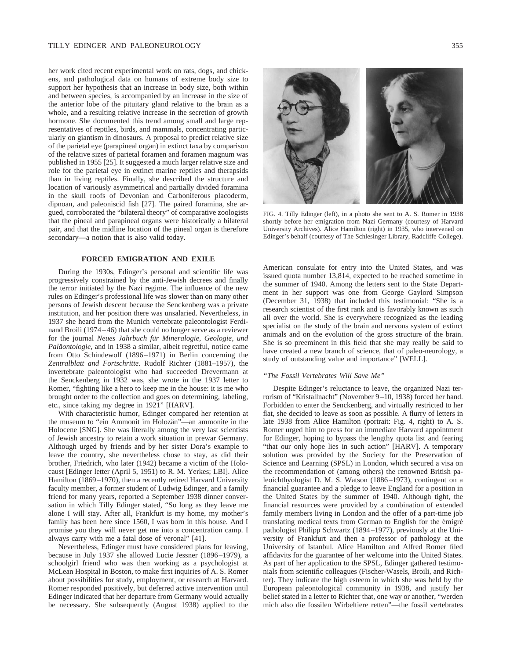#### TILLY EDINGER AND PALEONEUROLOGY 355

her work cited recent experimental work on rats, dogs, and chickens, and pathological data on humans of extreme body size to support her hypothesis that an increase in body size, both within and between species, is accompanied by an increase in the size of the anterior lobe of the pituitary gland relative to the brain as a whole, and a resulting relative increase in the secretion of growth hormone. She documented this trend among small and large representatives of reptiles, birds, and mammals, concentrating particularly on giantism in dinosaurs. A proposal to predict relative size of the parietal eye (parapineal organ) in extinct taxa by comparison of the relative sizes of parietal foramen and foramen magnum was published in 1955 [25]. It suggested a much larger relative size and role for the parietal eye in extinct marine reptiles and therapsids than in living reptiles. Finally, she described the structure and location of variously asymmetrical and partially divided foramina in the skull roofs of Devonian and Carboniferous placoderm, dipnoan, and paleoniscid fish [27]. The paired foramina, she argued, corroborated the "bilateral theory" of comparative zoologists that the pineal and parapineal organs were historically a bilateral pair, and that the midline location of the pineal organ is therefore secondary—a notion that is also valid today.

#### **FORCED EMIGRATION AND EXILE**

During the 1930s, Edinger's personal and scientific life was progressively constrained by the anti-Jewish decrees and finally the terror initiated by the Nazi regime. The influence of the new rules on Edinger's professional life was slower than on many other persons of Jewish descent because the Senckenberg was a private institution, and her position there was unsalaried. Nevertheless, in 1937 she heard from the Munich vertebrate paleontologist Ferdinand Broili (1974–46) that she could no longer serve as a reviewer for the journal *Neues Jahrbuch fu¨r Mineralogie, Geologie, und Paläontologie*, and in 1938 a similar, albeit regretful, notice came from Otto Schindewolf (1896–1971) in Berlin concerning the *Zentralblatt and Fortschritte*. Rudolf Richter (1881–1957), the invertebrate paleontologist who had succeeded Drevermann at the Senckenberg in 1932 was, she wrote in the 1937 letter to Romer, "fighting like a hero to keep me in the house: it is me who brought order to the collection and goes on determining, labeling, etc., since taking my degree in 1921" [HARV].

With characteristic humor, Edinger compared her retention at the museum to "ein Ammonit im Holozän"—an ammonite in the Holocene [SNG]. She was literally among the very last scientists of Jewish ancestry to retain a work situation in prewar Germany. Although urged by friends and by her sister Dora's example to leave the country, she nevertheless chose to stay, as did their brother, Friedrich, who later (1942) became a victim of the Holocaust [Edinger letter (April 5, 1951) to R. M. Yerkes; LBI]. Alice Hamilton (1869–1970), then a recently retired Harvard University faculty member, a former student of Ludwig Edinger, and a family friend for many years, reported a September 1938 dinner conversation in which Tilly Edinger stated, "So long as they leave me alone I will stay. After all, Frankfurt is my home, my mother's family has been here since 1560, I was born in this house. And I promise you they will never get me into a concentration camp. I always carry with me a fatal dose of veronal" [41].

Nevertheless, Edinger must have considered plans for leaving, because in July 1937 she allowed Lucie Jessner (1896–1979), a schoolgirl friend who was then working as a psychologist at McLean Hospital in Boston, to make first inquiries of A. S. Romer about possibilities for study, employment, or research at Harvard. Romer responded positively, but deferred active intervention until Edinger indicated that her departure from Germany would actually be necessary. She subsequently (August 1938) applied to the



FIG. 4. Tilly Edinger (left), in a photo she sent to A. S. Romer in 1938 shortly before her emigration from Nazi Germany (courtesy of Harvard University Archives). Alice Hamilton (right) in 1935, who intervened on Edinger's behalf (courtesy of The Schlesinger Library, Radcliffe College).

American consulate for entry into the United States, and was issued quota number 13,814, expected to be reached sometime in the summer of 1940. Among the letters sent to the State Department in her support was one from George Gaylord Simpson (December 31, 1938) that included this testimonial: "She is a research scientist of the first rank and is favorably known as such all over the world. She is everywhere recognized as the leading specialist on the study of the brain and nervous system of extinct animals and on the evolution of the gross structure of the brain. She is so preeminent in this field that she may really be said to have created a new branch of science, that of paleo-neurology, a study of outstanding value and importance" [WELL].

# *"The Fossil Vertebrates Will Save Me"*

Despite Edinger's reluctance to leave, the organized Nazi terrorism of "Kristallnacht" (November 9–10, 1938) forced her hand. Forbidden to enter the Senckenberg, and virtually restricted to her flat, she decided to leave as soon as possible. A flurry of letters in late 1938 from Alice Hamilton (portrait: Fig. 4, right) to A. S. Romer urged him to press for an immediate Harvard appointment for Edinger, hoping to bypass the lengthy quota list and fearing "that our only hope lies in such action" [HARV]. A temporary solution was provided by the Society for the Preservation of Science and Learning (SPSL) in London, which secured a visa on the recommendation of (among others) the renowned British paleoichthyologist D. M. S. Watson (1886–1973), contingent on a financial guarantee and a pledge to leave England for a position in the United States by the summer of 1940. Although tight, the financial resources were provided by a combination of extended family members living in London and the offer of a part-time job translating medical texts from German to English for the émigré pathologist Philipp Schwartz (1894–1977), previously at the University of Frankfurt and then a professor of pathology at the University of Istanbul. Alice Hamilton and Alfred Romer filed affidavits for the guarantee of her welcome into the United States. As part of her application to the SPSL, Edinger gathered testimonials from scientific colleagues (Fischer-Wasels, Broili, and Richter). They indicate the high esteem in which she was held by the European paleontological community in 1938, and justify her belief stated in a letter to Richter that, one way or another, "werden mich also die fossilen Wirbeltiere retten"—the fossil vertebrates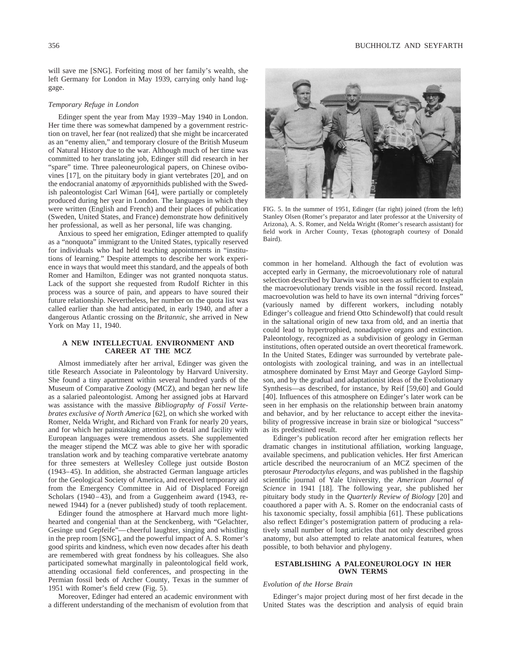will save me [SNG]. Forfeiting most of her family's wealth, she left Germany for London in May 1939, carrying only hand luggage.

#### *Temporary Refuge in London*

Edinger spent the year from May 1939–May 1940 in London. Her time there was somewhat dampened by a government restriction on travel, her fear (not realized) that she might be incarcerated as an "enemy alien," and temporary closure of the British Museum of Natural History due to the war. Although much of her time was committed to her translating job, Edinger still did research in her "spare" time. Three paleoneurological papers, on Chinese ovibovines [17], on the pituitary body in giant vertebrates [20], and on the endocranial anatomy of æpyornithids published with the Swedish paleontologist Carl Wiman [64], were partially or completely produced during her year in London. The languages in which they were written (English and French) and their places of publication (Sweden, United States, and France) demonstrate how definitively her professional, as well as her personal, life was changing.

Anxious to speed her emigration, Edinger attempted to qualify as a "nonquota" immigrant to the United States, typically reserved for individuals who had held teaching appointments in "institutions of learning." Despite attempts to describe her work experience in ways that would meet this standard, and the appeals of both Romer and Hamilton, Edinger was not granted nonquota status. Lack of the support she requested from Rudolf Richter in this process was a source of pain, and appears to have soured their future relationship. Nevertheless, her number on the quota list was called earlier than she had anticipated, in early 1940, and after a dangerous Atlantic crossing on the *Britannic*, she arrived in New York on May 11, 1940.

#### **A NEW INTELLECTUAL ENVIRONMENT AND CAREER AT THE MCZ**

Almost immediately after her arrival, Edinger was given the title Research Associate in Paleontology by Harvard University. She found a tiny apartment within several hundred yards of the Museum of Comparative Zoology (MCZ), and began her new life as a salaried paleontologist. Among her assigned jobs at Harvard was assistance with the massive *Bibliography of Fossil Vertebrates exclusive of North America* [62], on which she worked with Romer, Nelda Wright, and Richard von Frank for nearly 20 years, and for which her painstaking attention to detail and facility with European languages were tremendous assets. She supplemented the meager stipend the MCZ was able to give her with sporadic translation work and by teaching comparative vertebrate anatomy for three semesters at Wellesley College just outside Boston (1943–45). In addition, she abstracted German language articles for the Geological Society of America, and received temporary aid from the Emergency Committee in Aid of Displaced Foreign Scholars (1940–43), and from a Guggenheim award (1943, renewed 1944) for a (never published) study of tooth replacement.

Edinger found the atmosphere at Harvard much more lighthearted and congenial than at the Senckenberg, with "Gelachter, Gesinge und Gepfeife"—cheerful laughter, singing and whistling in the prep room [SNG], and the powerful impact of A. S. Romer's good spirits and kindness, which even now decades after his death are remembered with great fondness by his colleagues. She also participated somewhat marginally in paleontological field work, attending occasional field conferences, and prospecting in the Permian fossil beds of Archer County, Texas in the summer of 1951 with Romer's field crew (Fig. 5).

Moreover, Edinger had entered an academic environment with a different understanding of the mechanism of evolution from that



FIG. 5. In the summer of 1951, Edinger (far right) joined (from the left) Stanley Olsen (Romer's preparator and later professor at the University of Arizona), A. S. Romer, and Nelda Wright (Romer's research assistant) for field work in Archer County, Texas (photograph courtesy of Donald Baird).

common in her homeland. Although the fact of evolution was accepted early in Germany, the microevolutionary role of natural selection described by Darwin was not seen as sufficient to explain the macroevolutionary trends visible in the fossil record. Instead, macroevolution was held to have its own internal "driving forces" (variously named by different workers, including notably Edinger's colleague and friend Otto Schindewolf) that could result in the saltational origin of new taxa from old, and an inertia that could lead to hypertrophied, nonadaptive organs and extinction. Paleontology, recognized as a subdivision of geology in German institutions, often operated outside an overt theoretical framework. In the United States, Edinger was surrounded by vertebrate paleontologists with zoological training, and was in an intellectual atmosphere dominated by Ernst Mayr and George Gaylord Simpson, and by the gradual and adaptationist ideas of the Evolutionary Synthesis—as described, for instance, by Reif [59,60] and Gould [40]. Influences of this atmosphere on Edinger's later work can be seen in her emphasis on the relationship between brain anatomy and behavior, and by her reluctance to accept either the inevitability of progressive increase in brain size or biological "success" as its predestined result.

Edinger's publication record after her emigration reflects her dramatic changes in institutional affiliation, working language, available specimens, and publication vehicles. Her first American article described the neurocranium of an MCZ specimen of the pterosaur *Pterodactylus elegans*, and was published in the flagship scientific journal of Yale University, the *American Journal of Science* in 1941 [18]. The following year, she published her pituitary body study in the *Quarterly Review of Biology* [20] and coauthored a paper with A. S. Romer on the endocranial casts of his taxonomic specialty, fossil amphibia [61]. These publications also reflect Edinger's postemigration pattern of producing a relatively small number of long articles that not only described gross anatomy, but also attempted to relate anatomical features, when possible, to both behavior and phylogeny.

# **ESTABLISHING A PALEONEUROLOGY IN HER OWN TERMS**

#### *Evolution of the Horse Brain*

Edinger's major project during most of her first decade in the United States was the description and analysis of equid brain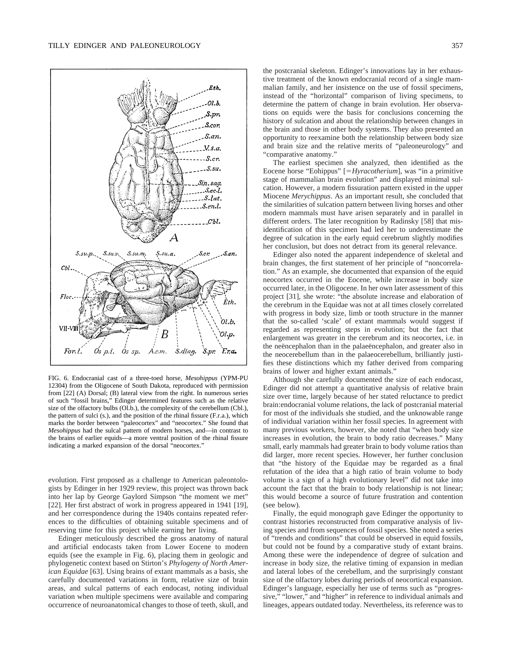

FIG. 6. Endocranial cast of a three-toed horse, *Mesohippus* (YPM-PU 12304) from the Oligocene of South Dakota, reproduced with permission from [22] (A) Dorsal; (B) lateral view from the right. In numerous series of such "fossil brains," Edinger determined features such as the relative size of the olfactory bulbs (Ol.b.), the complexity of the cerebellum (Cbl.), the pattern of sulci (s.), and the position of the rhinal fissure (F.r.a.), which marks the border between "paleocortex" and "neocortex." She found that *Mesohippus* had the sulcal pattern of modern horses, and—in contrast to the brains of earlier equids—a more ventral position of the rhinal fissure indicating a marked expansion of the dorsal "neocortex."

evolution. First proposed as a challenge to American paleontologists by Edinger in her 1929 review, this project was thrown back into her lap by George Gaylord Simpson "the moment we met" [22]. Her first abstract of work in progress appeared in 1941 [19], and her correspondence during the 1940s contains repeated references to the difficulties of obtaining suitable specimens and of reserving time for this project while earning her living.

Edinger meticulously described the gross anatomy of natural and artificial endocasts taken from Lower Eocene to modern equids (see the example in Fig. 6), placing them in geologic and phylogenetic context based on Stirton's *Phylogeny of North American Equidae* [63]. Using brains of extant mammals as a basis, she carefully documented variations in form, relative size of brain areas, and sulcal patterns of each endocast, noting individual variation when multiple specimens were available and comparing occurrence of neuroanatomical changes to those of teeth, skull, and the postcranial skeleton. Edinger's innovations lay in her exhaustive treatment of the known endocranial record of a single mammalian family, and her insistence on the use of fossil specimens, instead of the "horizontal" comparison of living specimens, to determine the pattern of change in brain evolution. Her observations on equids were the basis for conclusions concerning the history of sulcation and about the relationship between changes in the brain and those in other body systems. They also presented an opportunity to reexamine both the relationship between body size and brain size and the relative merits of "paleoneurology" and "comparative anatomy."

The earliest specimen she analyzed, then identified as the Eocene horse "Eohippus" [=*Hyracotherium*], was "in a primitive stage of mammalian brain evolution" and displayed minimal sulcation. However, a modern fissuration pattern existed in the upper Miocene *Merychippus*. As an important result, she concluded that the similarities of sulcation pattern between living horses and other modern mammals must have arisen separately and in parallel in different orders. The later recognition by Radinsky [58] that misidentification of this specimen had led her to underestimate the degree of sulcation in the early equid cerebrum slightly modifies her conclusion, but does not detract from its general relevance.

Edinger also noted the apparent independence of skeletal and brain changes, the first statement of her principle of "noncorrelation." As an example, she documented that expansion of the equid neocortex occurred in the Eocene, while increase in body size occurred later, in the Oligocene. In her own later assessment of this project [31], she wrote: "the absolute increase and elaboration of the cerebrum in the Equidae was not at all times closely correlated with progress in body size, limb or tooth structure in the manner that the so-called 'scale' of extant mammals would suggest if regarded as representing steps in evolution; but the fact that enlargement was greater in the cerebrum and its neocortex, i.e. in the neëncephalon than in the palaeëncephalon, and greater also in the neocerebellum than in the palaeocerebellum, brilliantly justifies these distinctions which my father derived from comparing brains of lower and higher extant animals."

Although she carefully documented the size of each endocast, Edinger did not attempt a quantitative analysis of relative brain size over time, largely because of her stated reluctance to predict brain:endocranial volume relations, the lack of postcranial material for most of the individuals she studied, and the unknowable range of individual variation within her fossil species. In agreement with many previous workers, however, she noted that "when body size increases in evolution, the brain to body ratio decreases." Many small, early mammals had greater brain to body volume ratios than did larger, more recent species. However, her further conclusion that "the history of the Equidae may be regarded as a final refutation of the idea that a high ratio of brain volume to body volume is a sign of a high evolutionary level" did not take into account the fact that the brain to body relationship is not linear; this would become a source of future frustration and contention (see below).

Finally, the equid monograph gave Edinger the opportunity to contrast histories reconstructed from comparative analysis of living species and from sequences of fossil species. She noted a series of "trends and conditions" that could be observed in equid fossils, but could not be found by a comparative study of extant brains. Among these were the independence of degree of sulcation and increase in body size, the relative timing of expansion in median and lateral lobes of the cerebellum, and the surprisingly constant size of the olfactory lobes during periods of neocortical expansion. Edinger's language, especially her use of terms such as "progressive," "lower," and "higher" in reference to individual animals and lineages, appears outdated today. Nevertheless, its reference was to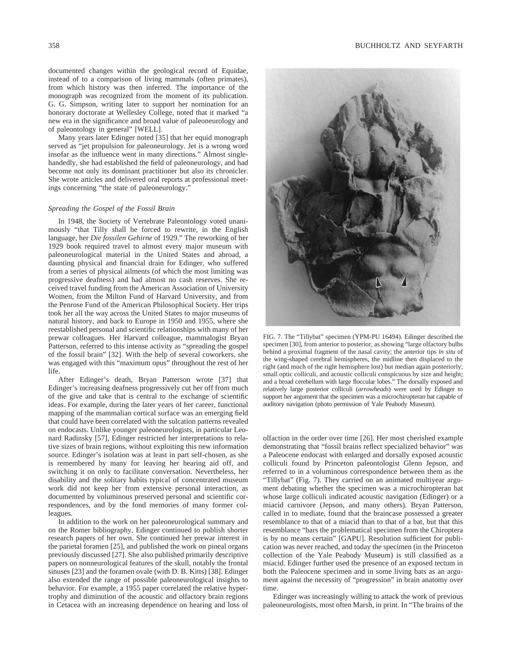documented changes within the geological record of Equidae, instead of to a comparison of living mammals (often primates), from which history was then inferred. The importance of the monograph was recognized from the moment of its publication. G. G. Simpson, writing later to support her nomination for an honorary doctorate at Wellesley College, noted that it marked "a new era in the significance and broad value of paleoneurology and of paleontology in general" [WELL].

Many years later Edinger noted [35] that her equid monograph served as "jet propulsion for paleoneurology. Jet is a wrong word insofar as the influence went in many directions." Almost singlehandedly, she had established the field of paleoneurology, and had become not only its dominant practitioner but also its chronicler. She wrote articles and delivered oral reports at professional meetings concerning "the state of paleoneurology."

#### *Spreading the Gospel of the Fossil Brain*

In 1948, the Society of Vertebrate Paleontology voted unanimously "that Tilly shall be forced to rewrite, in the English language, her *Die fossilen Gehirne* of 1929." The reworking of her 1929 book required travel to almost every major museum with paleoneurological material in the United States and abroad, a daunting physical and financial drain for Edinger, who suffered from a series of physical ailments (of which the most limiting was progressive deafness) and had almost no cash reserves. She received travel funding from the American Association of University Women, from the Milton Fund of Harvard University, and from the Penrose Fund of the American Philosophical Society. Her trips took her all the way across the United States to major museums of natural history, and back to Europe in 1950 and 1955, where she reestablished personal and scientific relationships with many of her prewar colleagues. Her Harvard colleague, mammalogist Bryan Patterson, referred to this intense activity as "spreading the gospel of the fossil brain" [32]. With the help of several coworkers, she was engaged with this "maximum opus" throughout the rest of her life.

After Edinger's death, Bryan Patterson wrote [37] that Edinger's increasing deafness progressively cut her off from much of the give and take that is central to the exchange of scientific ideas. For example, during the later years of her career, functional mapping of the mammalian cortical surface was an emerging field that could have been correlated with the sulcation patterns revealed on endocasts. Unlike younger paleoneurologists, in particular Leonard Radinsky [57], Edinger restricted her interpretations to relative sizes of brain regions, without exploiting this new information source. Edinger's isolation was at least in part self-chosen, as she is remembered by many for leaving her hearing aid off, and switching it on only to facilitate conversation. Nevertheless, her disability and the solitary habits typical of concentrated museum work did not keep her from extensive personal interaction, as documented by voluminous preserved personal and scientific correspondences, and by the fond memories of many former colleagues.

In addition to the work on her paleoneurological summary and on the Romer bibliography, Edinger continued to publish shorter research papers of her own. She continued her prewar interest in the parietal foramen [25], and published the work on pineal organs previously discussed [27]. She also published primarily descriptive papers on nonneurological features of the skull, notably the frontal sinuses [23] and the foramen ovale (with D. B. Kitts) [38]. Edinger also extended the range of possible paleoneurological insights to behavior. For example, a 1955 paper correlated the relative hypertrophy and diminution of the acoustic and olfactory brain regions in Cetacea with an increasing dependence on hearing and loss of



FIG. 7. The "Tillybat" specimen (YPM-PU 16494). Edinger described the specimen [30], from anterior to posterior, as showing "large olfactory bulbs behind a proximal fragment of the nasal cavity; the anterior tips *in situ* of the wing-shaped cerebral hemispheres, the midline then displaced to the right (and much of the right hemisphere lost) but median again posteriorly; small optic colliculi, and acoustic colliculi conspicuous by size and height; and a broad cerebellum with large floccular lobes." The dorsally exposed and relatively large posterior colliculi (*arrowheads*) were used by Edinger to support her argument that the specimen was a microchiropteran bat capable of auditory navigation (photo permission of Yale Peabody Museum).

olfaction in the order over time [26]. Her most cherished example demonstrating that "fossil brains reflect specialized behavior" was a Paleocene endocast with enlarged and dorsally exposed acoustic colliculi found by Princeton paleontologist Glenn Jepson, and referred to in a voluminous correspondence between them as the "Tillybat" (Fig. 7). They carried on an animated multiyear argument debating whether the specimen was a microchiropteran bat whose large colliculi indicated acoustic navigation (Edinger) or a miacid carnivore (Jepson, and many others). Bryan Patterson, called in to mediate, found that the braincase possessed a greater resemblance to that of a miacid than to that of a bat, but that this resemblance "bars the problematical specimen from the Chiroptera is by no means certain" [GAPU]. Resolution sufficient for publication was never reached, and today the specimen (in the Princeton collection of the Yale Peabody Museum) is still classified as a miacid. Edinger further used the presence of an exposed tectum in both the Paleocene specimen and in some living bats as an argument against the necessity of "progression" in brain anatomy over time.

Edinger was increasingly willing to attack the work of previous paleoneurologists, most often Marsh, in print. In "The brains of the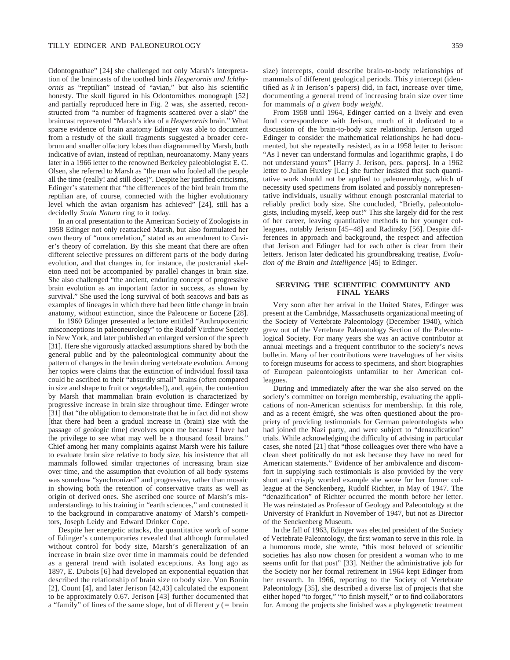Odontognathae" [24] she challenged not only Marsh's interpretation of the braincasts of the toothed birds *Hesperornis and Ichthyornis* as "reptilian" instead of "avian," but also his scientific honesty. The skull figured in his Odontornithes monograph [52] and partially reproduced here in Fig. 2 was, she asserted, reconstructed from "a number of fragments scattered over a slab" the braincast represented "Marsh's idea of a *Hesperornis* brain." What sparse evidence of brain anatomy Edinger was able to document from a restudy of the skull fragments suggested a broader cerebrum and smaller olfactory lobes than diagrammed by Marsh, both indicative of avian, instead of reptilian, neuroanatomy. Many years later in a 1966 letter to the renowned Berkeley paleobiologist E. C. Olsen, she referred to Marsh as "the man who fooled all the people all the time (really! and still does)". Despite her justified criticisms, Edinger's statement that "the differences of the bird brain from the reptilian are, of course, connected with the higher evolutionary level which the avian organism has achieved" [24], still has a decidedly *Scala Natura* ring to it today.

In an oral presentation to the American Society of Zoologists in 1958 Edinger not only reattacked Marsh, but also formulated her own theory of "noncorrelation," stated as an amendment to Cuvier's theory of correlation. By this she meant that there are often different selective pressures on different parts of the body during evolution, and that changes in, for instance, the postcranial skeleton need not be accompanied by parallel changes in brain size. She also challenged "the ancient, enduring concept of progressive brain evolution as an important factor in success, as shown by survival." She used the long survival of both seacows and bats as examples of lineages in which there had been little change in brain anatomy, without extinction, since the Paleocene or Eocene [28].

In 1960 Edinger presented a lecture entitled "Anthropocentric misconceptions in paleoneurology" to the Rudolf Virchow Society in New York, and later published an enlarged version of the speech [31]. Here she vigorously attacked assumptions shared by both the general public and by the paleontological community about the pattern of changes in the brain during vertebrate evolution. Among her topics were claims that the extinction of individual fossil taxa could be ascribed to their "absurdly small" brains (often compared in size and shape to fruit or vegetables!), and, again, the contention by Marsh that mammalian brain evolution is characterized by progressive increase in brain size throughout time. Edinger wrote [31] that "the obligation to demonstrate that he in fact did not show [that there had been a gradual increase in (brain) size with the passage of geologic time] devolves upon me because I have had the privilege to see what may well be a thousand fossil brains." Chief among her many complaints against Marsh were his failure to evaluate brain size relative to body size, his insistence that all mammals followed similar trajectories of increasing brain size over time, and the assumption that evolution of all body systems was somehow "synchronized" and progressive, rather than mosaic in showing both the retention of conservative traits as well as origin of derived ones. She ascribed one source of Marsh's misunderstandings to his training in "earth sciences," and contrasted it to the background in comparative anatomy of Marsh's competitors, Joseph Leidy and Edward Drinker Cope.

Despite her energetic attacks, the quantitative work of some of Edinger's contemporaries revealed that although formulated without control for body size, Marsh's generalization of an increase in brain size over time in mammals could be defended as a general trend with isolated exceptions. As long ago as 1897, E. Dubois [6] had developed an exponential equation that described the relationship of brain size to body size. Von Bonin [2], Count [4], and later Jerison [42,43] calculated the exponent to be approximately 0.67. Jerison [43] further documented that a "family" of lines of the same slope, but of different  $y$  (= brain size) intercepts, could describe brain-to-body relationships of mammals of different geological periods. This *y* intercept (identified as *k* in Jerison's papers) did, in fact, increase over time, documenting a general trend of increasing brain size over time for mammals *of a given body weight*.

From 1958 until 1964, Edinger carried on a lively and even fond correspondence with Jerison, much of it dedicated to a discussion of the brain-to-body size relationship. Jerison urged Edinger to consider the mathematical relationships he had documented, but she repeatedly resisted, as in a 1958 letter to Jerison: "As I never can understand formulas and logarithmic graphs, I do not understand yours" [Harry J. Jerison, pers. papers]. In a 1962 letter to Julian Huxley [l.c.] she further insisted that such quantitative work should not be applied to paleoneurology, which of necessity used specimens from isolated and possibly nonrepresentative individuals, usually without enough postcranial material to reliably predict body size. She concluded, "Briefly, paleontologists, including myself, keep out!" This she largely did for the rest of her career, leaving quantitative methods to her younger colleagues, notably Jerison [45–48] and Radinsky [56]. Despite differences in approach and background, the respect and affection that Jerison and Edinger had for each other is clear from their letters. Jerison later dedicated his groundbreaking treatise, *Evolution of the Brain and Intelligence* [45] to Edinger.

# **SERVING THE SCIENTIFIC COMMUNITY AND FINAL YEARS**

Very soon after her arrival in the United States, Edinger was present at the Cambridge, Massachusetts organizational meeting of the Society of Vertebrate Paleontology (December 1940), which grew out of the Vertebrate Paleontology Section of the Paleontological Society. For many years she was an active contributor at annual meetings and a frequent contributor to the society's news bulletin. Many of her contributions were travelogues of her visits to foreign museums for access to specimens, and short biographies of European paleontologists unfamiliar to her American colleagues.

During and immediately after the war she also served on the society's committee on foreign membership, evaluating the applications of non-American scientists for membership. In this role, and as a recent émigré, she was often questioned about the propriety of providing testimonials for German paleontologists who had joined the Nazi party, and were subject to "denazification" trials. While acknowledging the difficulty of advising in particular cases, she noted [21] that "those colleagues over there who have a clean sheet politically do not ask because they have no need for American statements." Evidence of her ambivalence and discomfort in supplying such testimonials is also provided by the very short and crisply worded example she wrote for her former colleague at the Senckenberg, Rudolf Richter, in May of 1947. The "denazification" of Richter occurred the month before her letter. He was reinstated as Professor of Geology and Paleontology at the University of Frankfurt in November of 1947, but not as Director of the Senckenberg Museum.

In the fall of 1963, Edinger was elected president of the Society of Vertebrate Paleontology, the first woman to serve in this role. In a humorous mode, she wrote, "this most beloved of scientific societies has also now chosen for president a woman who to me seems unfit for that post" [33]. Neither the administrative job for the Society nor her formal retirement in 1964 kept Edinger from her research. In 1966, reporting to the Society of Vertebrate Paleontology [35], she described a diverse list of projects that she either hoped "to forget," "to finish myself," or to find collaborators for. Among the projects she finished was a phylogenetic treatment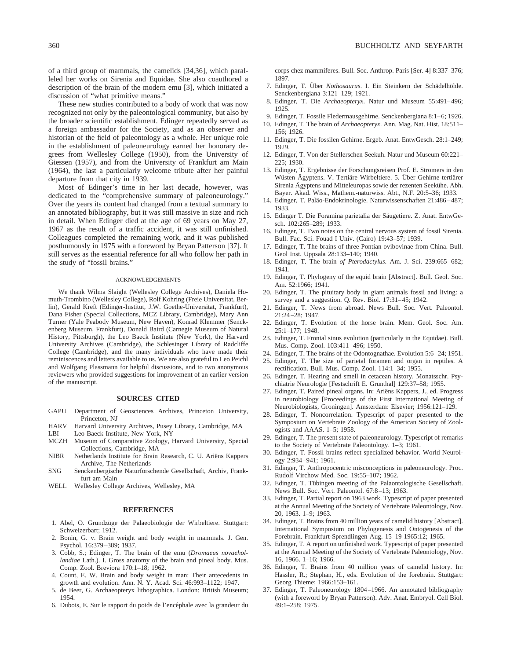of a third group of mammals, the camelids [34,36], which paralleled her works on Sirenia and Equidae. She also coauthored a description of the brain of the modern emu [3], which initiated a discussion of "what primitive means."

These new studies contributed to a body of work that was now recognized not only by the paleontological community, but also by the broader scientific establishment. Edinger repeatedly served as a foreign ambassador for the Society, and as an observer and historian of the field of paleontology as a whole. Her unique role in the establishment of paleoneurology earned her honorary degrees from Wellesley College (1950), from the University of Giessen (1957), and from the University of Frankfurt am Main (1964), the last a particularly welcome tribute after her painful departure from that city in 1939.

Most of Edinger's time in her last decade, however, was dedicated to the "comprehensive summary of paleoneurology." Over the years its content had changed from a textual summary to an annotated bibliography, but it was still massive in size and rich in detail. When Edinger died at the age of 69 years on May 27, 1967 as the result of a traffic accident, it was still unfinished. Colleagues completed the remaining work, and it was published posthumously in 1975 with a foreword by Bryan Patterson [37]. It still serves as the essential reference for all who follow her path in the study of "fossil brains."

#### ACKNOWLEDGEMENTS

We thank Wilma Slaight (Wellesley College Archives), Daniela Homuth-Trombino (Wellesley College), Rolf Kohring (Freie Universitat, Berlin), Gerald Kreft (Edinger-Institut, J.W. Goethe-Universitat, Frankfurt), Dana Fisher (Special Collections, MCZ Library, Cambridge), Mary Ann Turner (Yale Peabody Museum, New Haven), Konrad Klemmer (Senckenberg Museum, Frankfurt), Donald Baird (Carnegie Museum of Natural History, Pittsburgh), the Leo Baeck Institute (New York), the Harvard University Archives (Cambridge), the Schlesinger Library of Radcliffe College (Cambridge), and the many individuals who have made their reminiscences and letters available to us. We are also grateful to Leo Peichl and Wolfgang Plassmann for helpful discussions, and to two anonymous reviewers who provided suggestions for improvement of an earlier version of the manuscript.

## **SOURCES CITED**

- GAPU Department of Geosciences Archives, Princeton University, Princeton, NJ
- HARV Harvard University Archives, Pusey Library, Cambridge, MA
- LBI Leo Baeck Institute, New York, NY
- MCZH Museum of Comparative Zoology, Harvard University, Special Collections, Cambridge, MA
- NIBR Netherlands Institute for Brain Research, C. U. Ariëns Kappers Archive, The Netherlands
- SNG Senckenbergische Naturforschende Gesellschaft, Archiv, Frankfurt am Main
- WELL Wellesley College Archives, Wellesley, MA

#### **REFERENCES**

- 1. Abel, O. Grundzüge der Palaeobiologie der Wirbeltiere. Stuttgart: Schweizerbart; 1912.
- 2. Bonin, G. v. Brain weight and body weight in mammals. J. Gen. Psychol. 16:379–389; 1937.
- 3. Cobb, S.; Edinger, T. The brain of the emu (*Dromaeus novaehollandiae* Lath.). I. Gross anatomy of the brain and pineal body. Mus. Comp. Zool. Breviora 170:1–18; 1962.
- 4. Count, E. W. Brain and body weight in man: Their antecedents in growth and evolution. Ann. N. Y. Acad. Sci. 46:993–1122; 1947.
- 5. de Beer, G. Archaeopteryx lithographica. London: British Museum; 1954.
- 6. Dubois, E. Sur le rapport du poids de l'encéphale avec la grandeur du

corps chez mammiferes. Bull. Soc. Anthrop. Paris [Ser. 4] 8:337–376; 1897.

- 7. Edinger, T. Über *Nothosaurus*. I. Ein Steinkern der Schädelhöhle. Senckenbergiana 3:121–129; 1921.
- 8. Edinger, T. Die *Archaeopteryx*. Natur und Museum 55:491–496; 1925.
- 9. Edinger, T. Fossile Fledermausgehirne. Senckenbergiana 8:1–6; 1926.
- 10. Edinger, T. The brain of *Archaeopteryx*. Ann. Mag. Nat. Hist. 18:511– 156; 1926.
- 11. Edinger, T. Die fossilen Gehirne. Ergeb. Anat. EntwGesch. 28:1–249; 1929.
- 12. Edinger, T. Von der Stellerschen Seekuh. Natur und Museum 60:221– 225; 1930.
- 13. Edinger, T. Ergebnisse der Forschungsreisen Prof. E. Stromers in den Wüsten Ägyptens. V. Tertiäre Wirbeltiere. 5. Über Gehirne tertiärer Sirenia Ägyptens und Mitteleuropas sowie der rezenten Seekühe. Abh. Bayer. Akad. Wiss., Mathem.-naturwiss. Abt., N.F. 20:5–36; 1933.
- 14. Edinger, T. Paläo-Endokrinologie. Naturwissenschaften 21:486-487; 1933.
- 15. Edinger T. Die Foramina parietalia der Säugetiere. Z. Anat. EntwGesch. 102:265–289; 1933.
- 16. Edinger, T. Two notes on the central nervous system of fossil Sirenia. Bull. Fac. Sci. Fouad I Univ. (Cairo) 19:43–57; 1939.
- 17. Edinger, T. The brains of three Pontian ovibovinae from China. Bull. Geol Inst. Uppsala 28:133–140; 1940.
- 18. Edinger, T. The brain *of Pterodactylus*. Am. J. Sci. 239:665–682; 1941.
- 19. Edinger, T. Phylogeny of the equid brain [Abstract]. Bull. Geol. Soc. Am. 52:1966; 1941.
- 20. Edinger, T. The pituitary body in giant animals fossil and living: a survey and a suggestion. Q. Rev. Biol. 17:31–45; 1942.
- 21. Edinger, T. News from abroad. News Bull. Soc. Vert. Paleontol. 21:24–28; 1947.
- 22. Edinger, T. Evolution of the horse brain. Mem. Geol. Soc. Am. 25:1–177; 1948.
- 23. Edinger, T. Frontal sinus evolution (particularly in the Equidae). Bull. Mus. Comp. Zool. 103:411–496; 1950.
- 24. Edinger, T. The brains of the Odontognathae. Evolution 5:6–24; 1951.
- Edinger, T. The size of parietal foramen and organ in reptiles. A rectification. Bull. Mus. Comp. Zool. 114:1–34; 1955.
- 26. Edinger, T. Hearing and smell in cetacean history. Monatsschr. Psychiatrie Neurologie [Festschrift E. Grunthal] 129:37–58; 1955.
- 27. Edinger, T. Paired pineal organs. In: Ariëns Kappers, J., ed. Progress in neurobiology [Proceedings of the First International Meeting of Neurobiologists, Groningen]. Amsterdam: Elsevier; 1956:121–129.
- 28. Edinger, T. Noncorrelation. Typescript of paper presented to the Symposium on Vertebrate Zoology of the American Society of Zoologists and AAAS. 1–5; 1958.
- 29. Edinger, T. The present state of paleoneurology. Typescript of remarks to the Society of Vertebrate Paleontology. 1–3; 1961.
- 30. Edinger, T. Fossil brains reflect specialized behavior. World Neurology 2:934–941; 1961.
- 31. Edinger, T. Anthropocentric misconceptions in paleoneurology. Proc. Rudolf Virchow Med. Soc. 19:55–107; 1962.
- 32. Edinger, T. Tübingen meeting of the Palaontologische Gesellschaft. News Bull. Soc. Vert. Paleontol. 67:8–13; 1963.
- 33. Edinger, T. Partial report on 1963 work. Typescript of paper presented at the Annual Meeting of the Society of Vertebrate Paleontology, Nov. 20, 1963. 1–9; 1963.
- 34. Edinger, T. Brains from 40 million years of camelid history [Abstract]. International Symposium on Phylogenesis and Ontogenesis of the Forebrain. Frankfurt-Sprendlingen Aug. 15–19 1965:12; 1965.
- 35. Edinger, T. A report on unfinished work. Typescript of paper presented at the Annual Meeting of the Society of Vertebrate Paleontology, Nov. 16, 1966. 1–16; 1966.
- 36. Edinger, T. Brains from 40 million years of camelid history. In: Hassler, R.; Stephan, H., eds. Evolution of the forebrain. Stuttgart: Georg Thieme; 1966:153–161.
- 37. Edinger, T. Paleoneurology 1804–1966. An annotated bibliography (with a foreword by Bryan Patterson). Adv. Anat. Embryol. Cell Biol. 49:1–258; 1975.